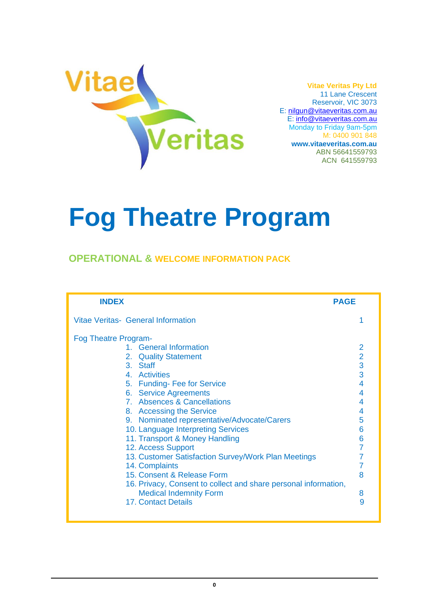

**Vitae Veritas Pty Ltd** 11 Lane Crescent Reservoir, VIC 3073 E: [nilgun@vitaeveritas.com.au](mailto:nilgun@vitaeveritas.com.au) E: [info@vitaeveritas.com.au](mailto:info@vitaeveritas.com.au) Monday to Friday 9am-5pm M: 0400 901 848 **[www.vitaeveritas.com.au](http://www.vitaeveritas.com.au/)** ABN 56641559793

ACN 641559793

# **Fog Theatre Program**

### **OPERATIONAL & WELCOME INFORMATION PACK**

| <b>INDEX</b>                                                                                                                                                                                                                                                                                                                                                                                                                                                                                                                                                                                                        | <b>PAGE</b>                                                                     |
|---------------------------------------------------------------------------------------------------------------------------------------------------------------------------------------------------------------------------------------------------------------------------------------------------------------------------------------------------------------------------------------------------------------------------------------------------------------------------------------------------------------------------------------------------------------------------------------------------------------------|---------------------------------------------------------------------------------|
| Vitae Veritas- General Information                                                                                                                                                                                                                                                                                                                                                                                                                                                                                                                                                                                  |                                                                                 |
| <b>Fog Theatre Program-</b><br>1. General Information<br>2. Quality Statement<br>3. Staff<br>4. Activities<br>5. Funding- Fee for Service<br>6. Service Agreements<br>7. Absences & Cancellations<br>8. Accessing the Service<br>9. Nominated representative/Advocate/Carers<br>10. Language Interpreting Services<br>11. Transport & Money Handling<br>12. Access Support<br>13. Customer Satisfaction Survey/Work Plan Meetings<br>14. Complaints<br>15. Consent & Release Form<br>16. Privacy, Consent to collect and share personal information,<br><b>Medical Indemnity Form</b><br><b>17. Contact Details</b> | $\overline{2}$<br>3<br>3<br>4<br>4<br>4<br>4<br>5<br>6<br>6<br>7<br>8<br>8<br>9 |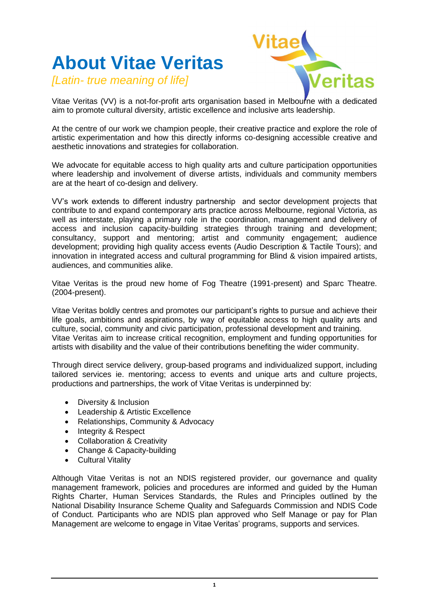# **About Vitae Veritas**

*[Latin- true meaning of life]*



Vitae Veritas (VV) is a not-for-profit arts organisation based in Melbourne with a dedicated aim to promote cultural diversity, artistic excellence and inclusive arts leadership.

At the centre of our work we champion people, their creative practice and explore the role of artistic experimentation and how this directly informs co-designing accessible creative and aesthetic innovations and strategies for collaboration.

We advocate for equitable access to high quality arts and culture participation opportunities where leadership and involvement of diverse artists, individuals and community members are at the heart of co-design and delivery.

VV's work extends to different industry partnership and sector development projects that contribute to and expand contemporary arts practice across Melbourne, regional Victoria, as well as interstate, playing a primary role in the coordination, management and delivery of access and inclusion capacity-building strategies through training and development; consultancy, support and mentoring; artist and community engagement; audience development; providing high quality access events (Audio Description & Tactile Tours); and innovation in integrated access and cultural programming for Blind & vision impaired artists, audiences, and communities alike.

Vitae Veritas is the proud new home of Fog Theatre (1991-present) and Sparc Theatre. (2004-present).

Vitae Veritas boldly centres and promotes our participant's rights to pursue and achieve their life goals, ambitions and aspirations, by way of equitable access to high quality arts and culture, social, community and civic participation, professional development and training. Vitae Veritas aim to increase critical recognition, employment and funding opportunities for artists with disability and the value of their contributions benefiting the wider community.

Through direct service delivery, group-based programs and individualized support, including tailored services ie. mentoring; access to events and unique arts and culture projects, productions and partnerships, the work of Vitae Veritas is underpinned by:

- Diversity & Inclusion
- Leadership & Artistic Excellence
- Relationships, Community & Advocacy
- Integrity & Respect
- Collaboration & Creativity
- Change & Capacity-building
- Cultural Vitality

Although Vitae Veritas is not an NDIS registered provider, our governance and quality management framework, policies and procedures are informed and guided by the Human Rights Charter, Human Services Standards, the Rules and Principles outlined by the National Disability Insurance Scheme Quality and Safeguards Commission and NDIS Code of Conduct. Participants who are NDIS plan approved who Self Manage or pay for Plan Management are welcome to engage in Vitae Veritas' programs, supports and services.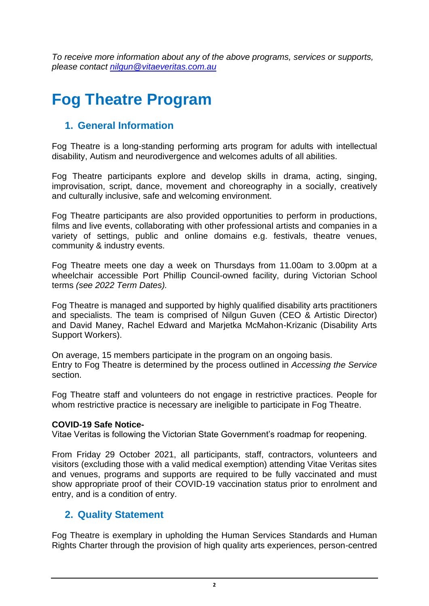*To receive more information about any of the above programs, services or supports, please contact [nilgun@vitaeveritas.com.au](mailto:nilgun@vitaeveritas.com.au)*

# **Fog Theatre Program**

# **1. General Information**

Fog Theatre is a long-standing performing arts program for adults with intellectual disability, Autism and neurodivergence and welcomes adults of all abilities.

Fog Theatre participants explore and develop skills in drama, acting, singing, improvisation, script, dance, movement and choreography in a socially, creatively and culturally inclusive, safe and welcoming environment.

Fog Theatre participants are also provided opportunities to perform in productions, films and live events, collaborating with other professional artists and companies in a variety of settings, public and online domains e.g. festivals, theatre venues, community & industry events.

Fog Theatre meets one day a week on Thursdays from 11.00am to 3.00pm at a wheelchair accessible Port Phillip Council-owned facility, during Victorian School terms *(see 2022 Term Dates).*

Fog Theatre is managed and supported by highly qualified disability arts practitioners and specialists. The team is comprised of Nilgun Guven (CEO & Artistic Director) and David Maney, Rachel Edward and Marjetka McMahon-Krizanic (Disability Arts Support Workers).

On average, 15 members participate in the program on an ongoing basis. Entry to Fog Theatre is determined by the process outlined in *Accessing the Service*  section.

Fog Theatre staff and volunteers do not engage in restrictive practices. People for whom restrictive practice is necessary are ineligible to participate in Fog Theatre.

#### **COVID-19 Safe Notice-**

Vitae Veritas is following the Victorian State Government's roadmap for reopening.

From Friday 29 October 2021, all participants, staff, contractors, volunteers and visitors (excluding those with a valid medical exemption) attending Vitae Veritas sites and venues, programs and supports are required to be fully vaccinated and must show appropriate proof of their COVID-19 vaccination status prior to enrolment and entry, and is a condition of entry.

# **2. Quality Statement**

Fog Theatre is exemplary in upholding the Human Services Standards and Human Rights Charter through the provision of high quality arts experiences, person-centred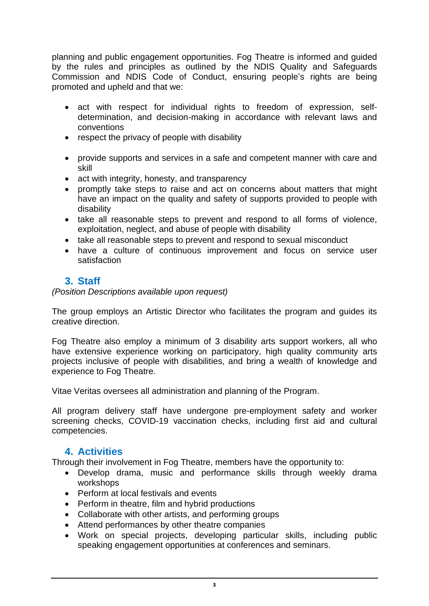planning and public engagement opportunities. Fog Theatre is informed and guided by the rules and principles as outlined by the NDIS Quality and Safeguards Commission and NDIS Code of Conduct, ensuring people's rights are being promoted and upheld and that we:

- act with respect for individual rights to freedom of expression, selfdetermination, and decision-making in accordance with relevant laws and conventions
- respect the privacy of people with disability
- provide supports and services in a safe and competent manner with care and skill
- act with integrity, honesty, and transparency
- promptly take steps to raise and act on concerns about matters that might have an impact on the quality and safety of supports provided to people with disability
- take all reasonable steps to prevent and respond to all forms of violence, exploitation, neglect, and abuse of people with disability
- take all reasonable steps to prevent and respond to sexual misconduct
- have a culture of continuous improvement and focus on service user satisfaction

# **3. Staff**

*(Position Descriptions available upon request)*

The group employs an Artistic Director who facilitates the program and guides its creative direction.

Fog Theatre also employ a minimum of 3 disability arts support workers, all who have extensive experience working on participatory, high quality community arts projects inclusive of people with disabilities, and bring a wealth of knowledge and experience to Fog Theatre.

Vitae Veritas oversees all administration and planning of the Program.

All program delivery staff have undergone pre-employment safety and worker screening checks, COVID-19 vaccination checks, including first aid and cultural competencies.

# **4. Activities**

Through their involvement in Fog Theatre, members have the opportunity to:

- Develop drama, music and performance skills through weekly drama workshops
- Perform at local festivals and events
- Perform in theatre, film and hybrid productions
- Collaborate with other artists, and performing groups
- Attend performances by other theatre companies
- Work on special projects, developing particular skills, including public speaking engagement opportunities at conferences and seminars.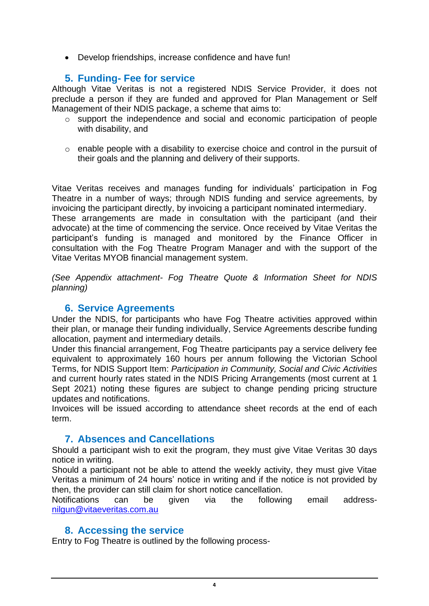• Develop friendships, increase confidence and have fun!

#### **5. Funding- Fee for service**

Although Vitae Veritas is not a registered NDIS Service Provider, it does not preclude a person if they are funded and approved for Plan Management or Self Management of their NDIS package, a scheme that aims to:

- o support the independence and social and economic participation of people with disability, and
- o enable people with a disability to exercise choice and control in the pursuit of their goals and the planning and delivery of their supports.

Vitae Veritas receives and manages funding for individuals' participation in Fog Theatre in a number of ways; through NDIS funding and service agreements, by invoicing the participant directly, by invoicing a participant nominated intermediary. These arrangements are made in consultation with the participant (and their

advocate) at the time of commencing the service. Once received by Vitae Veritas the participant's funding is managed and monitored by the Finance Officer in consultation with the Fog Theatre Program Manager and with the support of the Vitae Veritas MYOB financial management system.

*(See Appendix attachment- Fog Theatre Quote & Information Sheet for NDIS planning)*

#### **6. Service Agreements**

Under the NDIS, for participants who have Fog Theatre activities approved within their plan, or manage their funding individually, Service Agreements describe funding allocation, payment and intermediary details.

Under this financial arrangement, Fog Theatre participants pay a service delivery fee equivalent to approximately 160 hours per annum following the Victorian School Terms, for NDIS Support Item: *Participation in Community, Social and Civic Activities* and current hourly rates stated in the NDIS Pricing Arrangements (most current at 1 Sept 2021) noting these figures are subject to change pending pricing structure updates and notifications.

Invoices will be issued according to attendance sheet records at the end of each term.

#### **7. Absences and Cancellations**

Should a participant wish to exit the program, they must give Vitae Veritas 30 days notice in writing.

Should a participant not be able to attend the weekly activity, they must give Vitae Veritas a minimum of 24 hours' notice in writing and if the notice is not provided by then, the provider can still claim for short notice cancellation.

Notifications can be given via the following email address[nilgun@vitaeveritas.com.au](mailto:nilgun@vitaeveritas.com.au)

#### **8. Accessing the service**

Entry to Fog Theatre is outlined by the following process-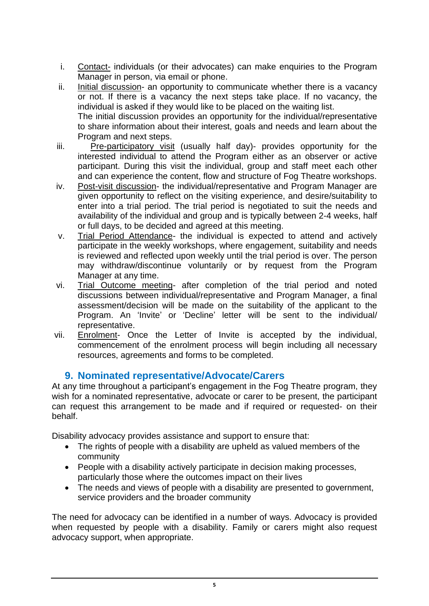- i. Contact- individuals (or their advocates) can make enquiries to the Program Manager in person, via email or phone.
- ii. Initial discussion- an opportunity to communicate whether there is a vacancy or not. If there is a vacancy the next steps take place. If no vacancy, the individual is asked if they would like to be placed on the waiting list. The initial discussion provides an opportunity for the individual/representative to share information about their interest, goals and needs and learn about the Program and next steps.
- iii. Pre-participatory visit (usually half day)- provides opportunity for the interested individual to attend the Program either as an observer or active participant. During this visit the individual, group and staff meet each other and can experience the content, flow and structure of Fog Theatre workshops.
- iv. Post-visit discussion- the individual/representative and Program Manager are given opportunity to reflect on the visiting experience, and desire/suitability to enter into a trial period. The trial period is negotiated to suit the needs and availability of the individual and group and is typically between 2-4 weeks, half or full days, to be decided and agreed at this meeting.
- v. Trial Period Attendance- the individual is expected to attend and actively participate in the weekly workshops, where engagement, suitability and needs is reviewed and reflected upon weekly until the trial period is over. The person may withdraw/discontinue voluntarily or by request from the Program Manager at any time.
- vi. Trial Outcome meeting- after completion of the trial period and noted discussions between individual/representative and Program Manager, a final assessment/decision will be made on the suitability of the applicant to the Program. An 'Invite' or 'Decline' letter will be sent to the individual/ representative.
- vii. Enrolment- Once the Letter of Invite is accepted by the individual, commencement of the enrolment process will begin including all necessary resources, agreements and forms to be completed.

# **9. Nominated representative/Advocate/Carers**

At any time throughout a participant's engagement in the Fog Theatre program, they wish for a nominated representative, advocate or carer to be present, the participant can request this arrangement to be made and if required or requested- on their behalf.

Disability advocacy provides assistance and support to ensure that:

- The rights of people with a disability are upheld as valued members of the community
- People with a disability actively participate in decision making processes, particularly those where the outcomes impact on their lives
- The needs and views of people with a disability are presented to government, service providers and the broader community

The need for advocacy can be identified in a number of ways. Advocacy is provided when requested by people with a disability. Family or carers might also request advocacy support, when appropriate.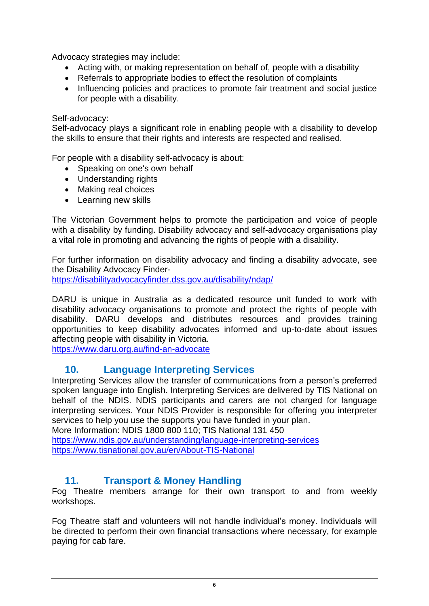Advocacy strategies may include:

- Acting with, or making representation on behalf of, people with a disability
- Referrals to appropriate bodies to effect the resolution of complaints
- Influencing policies and practices to promote fair treatment and social justice for people with a disability.

#### Self-advocacy:

Self-advocacy plays a significant role in enabling people with a disability to develop the skills to ensure that their rights and interests are respected and realised.

For people with a disability self-advocacy is about:

- Speaking on one's own behalf
- Understanding rights
- Making real choices
- Learning new skills

The Victorian Government helps to promote the participation and voice of people with a disability by funding. Disability advocacy and self-advocacy organisations play a vital role in promoting and advancing the rights of people with a disability.

For further information on disability advocacy and finding a disability advocate, see the Disability Advocacy Finder-

<https://disabilityadvocacyfinder.dss.gov.au/disability/ndap/>

DARU is unique in Australia as a dedicated resource unit funded to work with disability advocacy organisations to promote and protect the rights of people with disability. DARU develops and distributes resources and provides training opportunities to keep disability advocates informed and up-to-date about issues affecting people with disability in Victoria.

<https://www.daru.org.au/find-an-advocate>

# **10. Language Interpreting Services**

Interpreting Services allow the transfer of communications from a person's preferred spoken language into English. Interpreting Services are delivered by TIS National on behalf of the NDIS. NDIS participants and carers are not charged for language interpreting services. Your NDIS Provider is responsible for offering you interpreter services to help you use the supports you have funded in your plan.

More Information: NDIS 1800 800 110; TIS National 131 450 <https://www.ndis.gov.au/understanding/language-interpreting-services> <https://www.tisnational.gov.au/en/About-TIS-National>

# **11. Transport & Money Handling**

Fog Theatre members arrange for their own transport to and from weekly workshops.

Fog Theatre staff and volunteers will not handle individual's money. Individuals will be directed to perform their own financial transactions where necessary, for example paying for cab fare.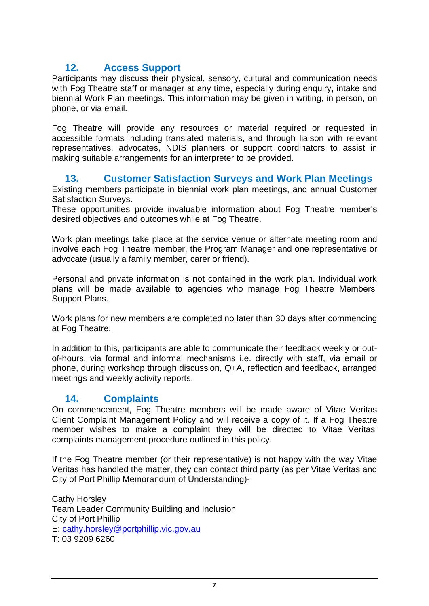# **12. Access Support**

Participants may discuss their physical, sensory, cultural and communication needs with Fog Theatre staff or manager at any time, especially during enquiry, intake and biennial Work Plan meetings. This information may be given in writing, in person, on phone, or via email.

Fog Theatre will provide any resources or material required or requested in accessible formats including translated materials, and through liaison with relevant representatives, advocates, NDIS planners or support coordinators to assist in making suitable arrangements for an interpreter to be provided.

### **13. Customer Satisfaction Surveys and Work Plan Meetings**

Existing members participate in biennial work plan meetings, and annual Customer Satisfaction Surveys.

These opportunities provide invaluable information about Fog Theatre member's desired objectives and outcomes while at Fog Theatre.

Work plan meetings take place at the service venue or alternate meeting room and involve each Fog Theatre member, the Program Manager and one representative or advocate (usually a family member, carer or friend).

Personal and private information is not contained in the work plan. Individual work plans will be made available to agencies who manage Fog Theatre Members' Support Plans.

Work plans for new members are completed no later than 30 days after commencing at Fog Theatre.

In addition to this, participants are able to communicate their feedback weekly or outof-hours, via formal and informal mechanisms i.e. directly with staff, via email or phone, during workshop through discussion, Q+A, reflection and feedback, arranged meetings and weekly activity reports.

# **14. Complaints**

On commencement, Fog Theatre members will be made aware of Vitae Veritas Client Complaint Management Policy and will receive a copy of it. If a Fog Theatre member wishes to make a complaint they will be directed to Vitae Veritas' complaints management procedure outlined in this policy.

If the Fog Theatre member (or their representative) is not happy with the way Vitae Veritas has handled the matter, they can contact third party (as per Vitae Veritas and City of Port Phillip Memorandum of Understanding)-

Cathy Horsley Team Leader Community Building and Inclusion City of Port Phillip E: [cathy.horsley@portphillip.vic.gov.au](mailto:cathy.horsley@portphillip.vic.gov.au) T: 03 9209 6260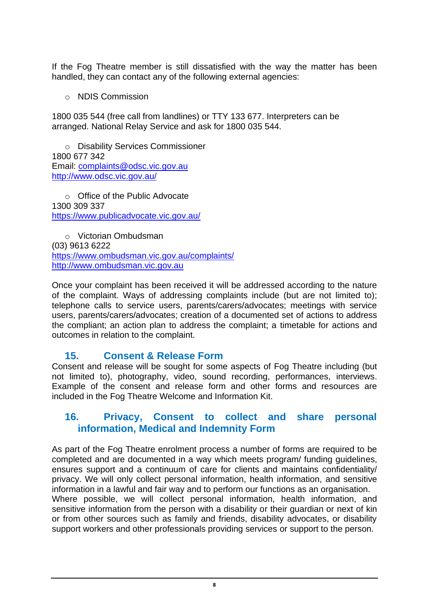If the Fog Theatre member is still dissatisfied with the way the matter has been handled, they can contact any of the following external agencies:

o NDIS Commission

1800 035 544 (free call from landlines) or TTY 133 677. Interpreters can be arranged. National Relay Service and ask for 1800 035 544.

o Disability Services Commissioner 1800 677 342 Email: [complaints@odsc.vic.gov.au](mailto:complaints@odsc.vic.gov.au) <http://www.odsc.vic.gov.au/>

o Office of the Public Advocate 1300 309 337 <https://www.publicadvocate.vic.gov.au/>

o Victorian Ombudsman (03) 9613 6222 <https://www.ombudsman.vic.gov.au/complaints/> [http://www.ombudsman.vic.gov.au](http://www.ombudsman.vic.gov.au/)

Once your complaint has been received it will be addressed according to the nature of the complaint. Ways of addressing complaints include (but are not limited to); telephone calls to service users, parents/carers/advocates; meetings with service users, parents/carers/advocates; creation of a documented set of actions to address the compliant; an action plan to address the complaint; a timetable for actions and outcomes in relation to the complaint.

#### **15. Consent & Release Form**

Consent and release will be sought for some aspects of Fog Theatre including (but not limited to), photography, video, sound recording, performances, interviews. Example of the consent and release form and other forms and resources are included in the Fog Theatre Welcome and Information Kit.

### **16. Privacy, Consent to collect and share personal information, Medical and Indemnity Form**

As part of the Fog Theatre enrolment process a number of forms are required to be completed and are documented in a way which meets program/ funding guidelines, ensures support and a continuum of care for clients and maintains confidentiality/ privacy. We will only collect personal information, health information, and sensitive information in a lawful and fair way and to perform our functions as an organisation. Where possible, we will collect personal information, health information, and sensitive information from the person with a disability or their guardian or next of kin or from other sources such as family and friends, disability advocates, or disability support workers and other professionals providing services or support to the person.